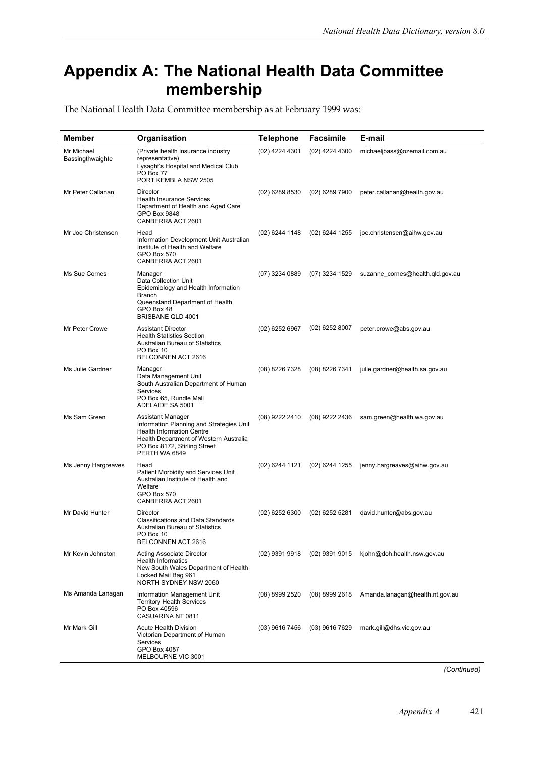## **Appendix A: The National Health Data Committee membership**

The National Health Data Committee membership as at February 1999 was:

| Member                         | Organisation                                                                                                                                                                                 | <b>Telephone</b> | <b>Facsimile</b> | E-mail                           |
|--------------------------------|----------------------------------------------------------------------------------------------------------------------------------------------------------------------------------------------|------------------|------------------|----------------------------------|
| Mr Michael<br>Bassingthwaighte | (Private health insurance industry<br>representative)<br>Lysaght's Hospital and Medical Club<br>PO Box 77<br>PORT KEMBLA NSW 2505                                                            | (02) 4224 4301   | (02) 4224 4300   | michaeljbass@ozemail.com.au      |
| Mr Peter Callanan              | Director<br><b>Health Insurance Services</b><br>Department of Health and Aged Care<br>GPO Box 9848<br>CANBERRA ACT 2601                                                                      | (02) 6289 8530   | (02) 6289 7900   | peter.callanan@health.gov.au     |
| Mr Joe Christensen             | Head<br>Information Development Unit Australian<br>Institute of Health and Welfare<br>GPO Box 570<br>CANBERRA ACT 2601                                                                       | (02) 6244 1148   | (02) 6244 1255   | joe.christensen@aihw.gov.au      |
| Ms Sue Cornes                  | Manager<br>Data Collection Unit<br>Epidemiology and Health Information<br>Branch<br>Queensland Department of Health<br>GPO Box 48<br>BRISBANE QLD 4001                                       | (07) 3234 0889   | (07) 3234 1529   | suzanne_cornes@health.qld.gov.au |
| Mr Peter Crowe                 | <b>Assistant Director</b><br><b>Health Statistics Section</b><br><b>Australian Bureau of Statistics</b><br>PO Box 10<br>BELCONNEN ACT 2616                                                   | (02) 6252 6967   | (02) 6252 8007   | peter.crowe@abs.gov.au           |
| Ms Julie Gardner               | Manager<br>Data Management Unit<br>South Australian Department of Human<br>Services<br>PO Box 65, Rundle Mall<br>ADELAIDE SA 5001                                                            | (08) 8226 7328   | (08) 8226 7341   | julie.gardner@health.sa.gov.au   |
| Ms Sam Green                   | Assistant Manager<br>Information Planning and Strategies Unit<br><b>Health Information Centre</b><br>Health Department of Western Australia<br>PO Box 8172, Stirling Street<br>PERTH WA 6849 | (08) 9222 2410   | (08) 9222 2436   | sam.green@health.wa.gov.au       |
| Ms Jenny Hargreaves            | Head<br>Patient Morbidity and Services Unit<br>Australian Institute of Health and<br>Welfare<br>GPO Box 570<br>CANBERRA ACT 2601                                                             | (02) 6244 1121   | (02) 6244 1255   | jenny.hargreaves@aihw.gov.au     |
| Mr David Hunter                | Director<br><b>Classifications and Data Standards</b><br><b>Australian Bureau of Statistics</b><br>PO Box 10<br>BELCONNEN ACT 2616                                                           | (02) 6252 6300   | (02) 6252 5281   | david.hunter@abs.gov.au          |
| Mr Kevin Johnston              | Acting Associate Director<br><b>Health Informatics</b><br>New South Wales Department of Health<br>Locked Mail Bag 961<br>NORTH SYDNEY NSW 2060                                               | (02) 9391 9918   | (02) 9391 9015   | kjohn@doh.health.nsw.gov.au      |
| Ms Amanda Lanagan              | Information Management Unit<br><b>Territory Health Services</b><br>PO Box 40596<br>CASUARINA NT 0811                                                                                         | (08) 8999 2520   | (08) 8999 2618   | Amanda.lanagan@health.nt.gov.au  |
| Mr Mark Gill                   | <b>Acute Health Division</b><br>Victorian Department of Human<br>Services<br>GPO Box 4057<br>MELBOURNE VIC 3001                                                                              | (03) 9616 7456   | (03) 9616 7629   | mark.gill@dhs.vic.gov.au         |

*(Continued)*